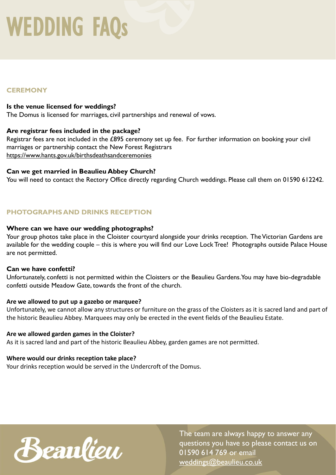# **CEREMONY**

### **Is the venue licensed for weddings?**

The Domus is licensed for marriages, civil partnerships and renewal of vows.

#### **Are registrar fees included in the package?**

Registrar fees are not included in the £895 ceremony set up fee. For further information on booking your civil marriages or partnership contact the New Forest Registrars <https://www.hants.gov.uk/birthsdeathsandceremonies>

### **Can we get married in Beaulieu Abbey Church?**

You will need to contact the Rectory Office directly regarding Church weddings. Please call them on 01590 612242.

# **PHOTOGRAPHS AND DRINKS RECEPTION**

#### **Where can we have our wedding photographs?**

Your group photos take place in the Cloister courtyard alongside your drinks reception. The Victorian Gardens are available for the wedding couple – this is where you will find our Love Lock Tree! Photographs outside Palace House are not permitted.

#### **Can we have confetti?**

Unfortunately, confetti is not permitted within the Cloisters or the Beaulieu Gardens. You may have bio-degradable confetti outside Meadow Gate, towards the front of the church.

#### **Are we allowed to put up a gazebo or marquee?**

Unfortunately, we cannot allow any structures or furniture on the grass of the Cloisters as it is sacred land and part of the historic Beaulieu Abbey. Marquees may only be erected in the event fields of the Beaulieu Estate.

#### **Are we allowed garden games in the Cloister?**

As it is sacred land and part of the historic Beaulieu Abbey, garden games are not permitted.

# **Where would our drinks reception take place?**

Your drinks reception would be served in the Undercroft of the Domus.

Beaulieu

The team are always happy to answer any questions you have so please contact us on 01590 614 769 or email [weddings@beaulieu.co.uk](mailto:weddings@beaulieu.co.uk)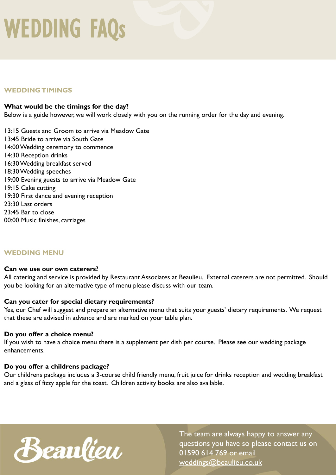### **WEDDING TIMINGS**

#### **What would be the timings for the day?**

Below is a guide however, we will work closely with you on the running order for the day and evening.

13:15 Guests and Groom to arrive via Meadow Gate 13:45 Bride to arrive via South Gate 14:00 Wedding ceremony to commence 14:30 Reception drinks 16:30 Wedding breakfast served 18:30 Wedding speeches 19:00 Evening guests to arrive via Meadow Gate 19:15 Cake cutting 19:30 First dance and evening reception 23:30 Last orders 23:45 Bar to close 00:00 Music finishes, carriages

#### **WEDDING MENU**

#### **Can we use our own caterers?**

All catering and service is provided by Restaurant Associates at Beaulieu. External caterers are not permitted. Should you be looking for an alternative type of menu please discuss with our team.

#### **Can you cater for special dietary requirements?**

Yes, our Chef will suggest and prepare an alternative menu that suits your guests' dietary requirements. We request that these are advised in advance and are marked on your table plan.

#### **Do you offer a choice menu?**

If you wish to have a choice menu there is a supplement per dish per course. Please see our wedding package enhancements.

#### **Do you offer a childrens package?**

Our childrens package includes a 3-course child friendly menu, fruit juice for drinks reception and wedding breakfast and a glass of fizzy apple for the toast. Children activity books are also available.



The team are always happy to answer any questions you have so please contact us on 01590 614 769 or email [weddings@beaulieu.co.uk](mailto:weddings@beaulieu.co.uk)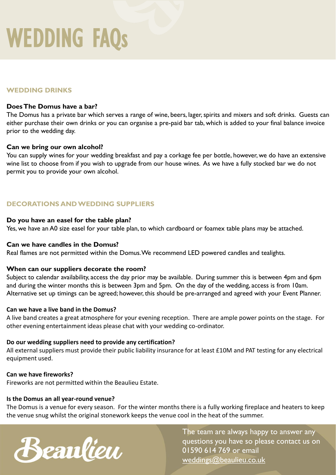### **WEDDING DRINKS**

#### **Does The Domus have a bar?**

The Domus has a private bar which serves a range of wine, beers, lager, spirits and mixers and soft drinks. Guests can either purchase their own drinks or you can organise a pre-paid bar tab, which is added to your final balance invoice prior to the wedding day.

#### **Can we bring our own alcohol?**

You can supply wines for your wedding breakfast and pay a corkage fee per bottle, however, we do have an extensive wine list to choose from if you wish to upgrade from our house wines. As we have a fully stocked bar we do not permit you to provide your own alcohol.

## **DECORATIONS AND WEDDING SUPPLIERS**

#### **Do you have an easel for the table plan?**

Yes, we have an A0 size easel for your table plan, to which cardboard or foamex table plans may be attached.

#### **Can we have candles in the Domus?**

Real flames are not permitted within the Domus. We recommend LED powered candles and tealights.

#### **When can our suppliers decorate the room?**

Subject to calendar availability, access the day prior may be available. During summer this is between 4pm and 6pm and during the winter months this is between 3pm and 5pm. On the day of the wedding, access is from 10am. Alternative set up timings can be agreed; however, this should be pre-arranged and agreed with your Event Planner.

#### **Can we have a live band in the Domus?**

A live band creates a great atmosphere for your evening reception. There are ample power points on the stage. For other evening entertainment ideas please chat with your wedding co-ordinator.

#### **Do our wedding suppliers need to provide any certification?**

All external suppliers must provide their public liability insurance for at least £10M and PAT testing for any electrical equipment used.

#### **Can we have fireworks?**

Fireworks are not permitted within the Beaulieu Estate.

#### **Is the Domus an all year-round venue?**

The Domus is a venue for every season. For the winter months there is a fully working fireplace and heaters to keep the venue snug whilst the original stonework keeps the venue cool in the heat of the summer.



The team are always happy to answer any questions you have so please contact us on 01590 614 769 or email [weddings@beaulieu.co.uk](mailto:weddings@beaulieu.co.uk)